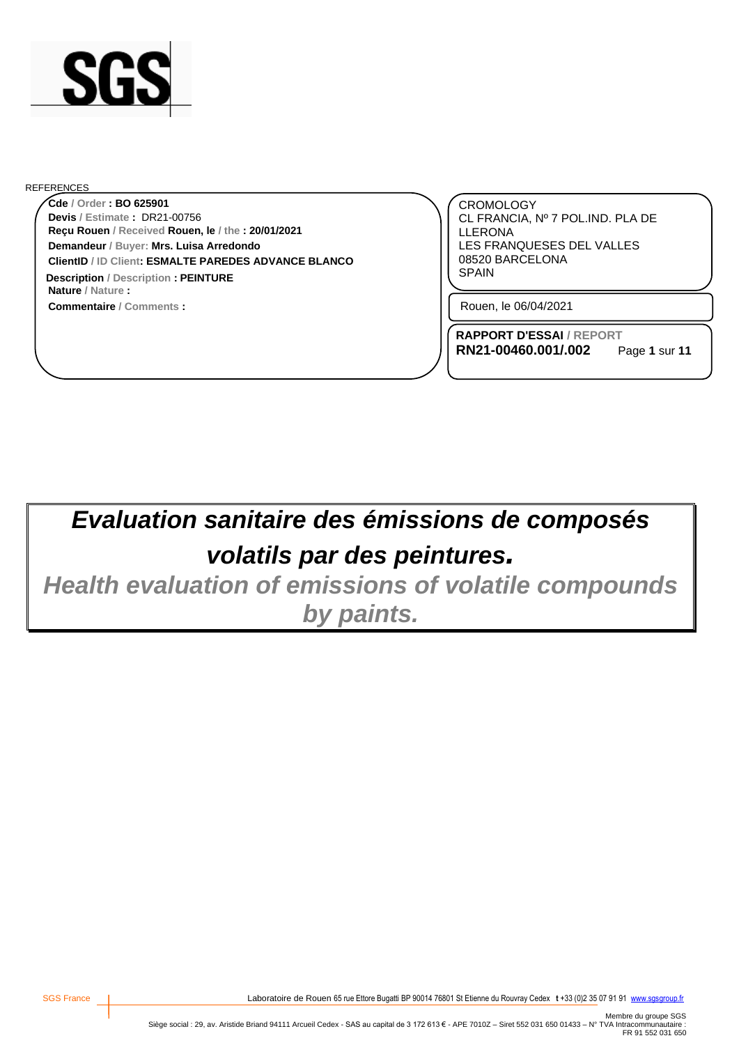

#### REFERENCES

**Reçu Rouen / Received Rouen, le / the : 20/01/2021 Cde / Order : BO 625901 Demandeur / Buyer: Mrs. Luisa Arredondo Nature / Nature : ClientID / ID Client: ESMALTE PAREDES ADVANCE BLANCO Devis / Estimate :** DR21-00756 **Description** / Description **: PEINTURE EXECUTE: EXECUTE: EXECUTE: EXECUTE: EXECUTE: EXECUTE: EXECUTE: EXECUTE: EXECUTE: EXECUTE: EXECUTE: EXECUTE: EXECUTE: EXECUTE: EXECUTE: EXECUTE: EXEC** 

**Commentaire / Comments :**

CROMOLOGY CL FRANCIA, Nº 7 POL.IND. PLA DE LLERONA LES FRANQUESES DEL VALLES 08520 BARCELONA

Rouen, le 06/04/2021

**RAPPORT D'ESSAI / REPORT RN21-00460.001/.002**

Page **1** sur **11**

# *Evaluation sanitaire des émissions de composés volatils par des peintures.*

*Health evaluation of emissions of volatile compounds by paints.*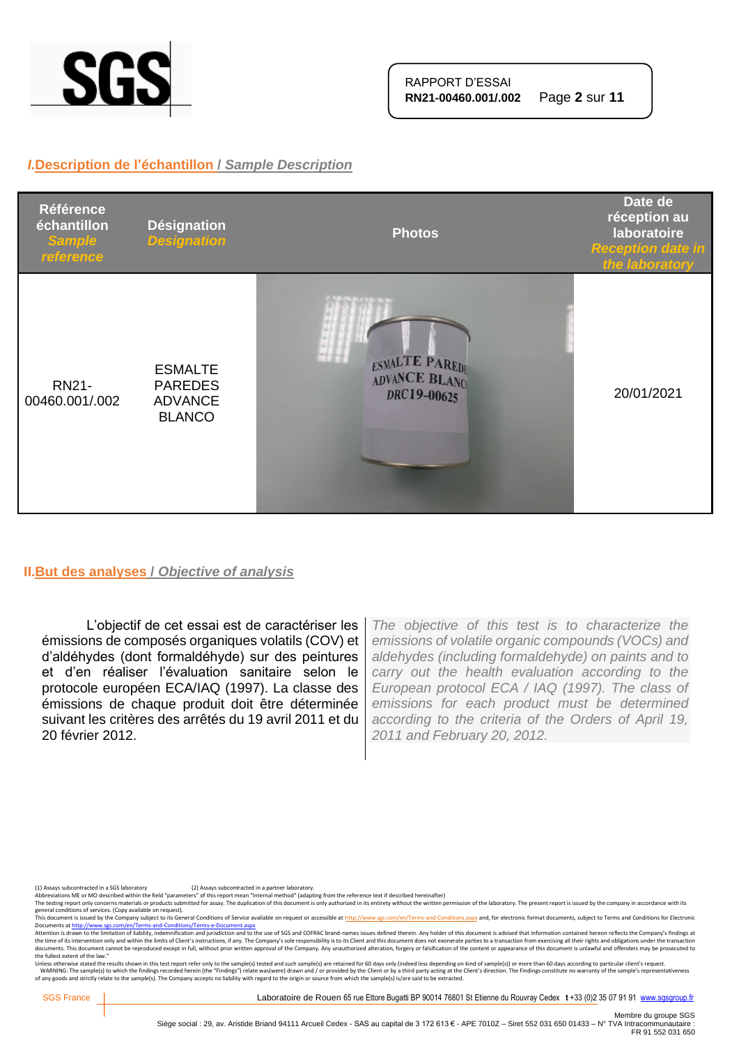

## *I.***Description de l'échantillon /** *Sample Description*



#### **II.But des analyses /** *Objective of analysis*

L'objectif de cet essai est de caractériser les émissions de composés organiques volatils (COV) et d'aldéhydes (dont formaldéhyde) sur des peintures et d'en réaliser l'évaluation sanitaire selon le protocole européen ECA/IAQ (1997). La classe des émissions de chaque produit doit être déterminée suivant les critères des arrêtés du 19 avril 2011 et du 20 février 2012.

*The objective of this test is to characterize the emissions of volatile organic compounds (VOCs) and aldehydes (including formaldehyde) on paints and to carry out the health evaluation according to the European protocol ECA / IAQ (1997). The class of emissions for each product must be determined according to the criteria of the Orders of April 19, 2011 and February 20, 2012.*

(1) Assays subcontracted in a SGS laboratory (2) Assays subcontracted in a partner laboratory.<br>Abbreviations ME or MO described within the field "parameters" of this report mean "Internal method" (adapting from the referen

The testing report only concerns materials or products submitted for assay. The duplication of this document is only authorized in its entirety without the written permission of the laboratory. The present report is issued

general conditions of services. (Copy available on request).<br>This documents a fister of the Company subject to the Company subject to the Gompany subject to the School of<br>Documents at <u>http://www.ses.com/en/Terms-and-Condi</u> the fullest extent of the law."

Unless otherwise stated the results shown in this test report refer only to the sample(s) tested and such sample(s) are retained for 60 days only (indeed less depending on kind of sample(s)) or more than 60 days according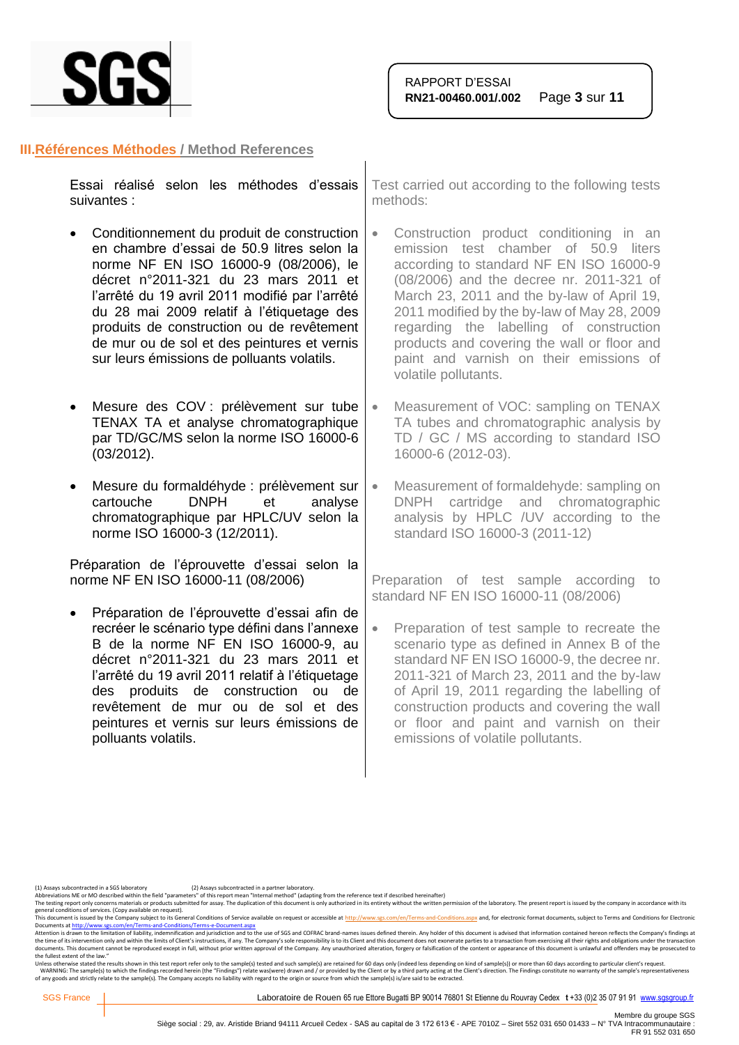

#### **III.Références Méthodes / Method References**

| Essai réalisé selon les méthodes d'essais   Test carried out according to the followi<br>suivantes : | methods: |
|------------------------------------------------------------------------------------------------------|----------|
| • Conditionnement du produit de construction   • Construction product conditioning                   |          |

- en chambre d'essai de 50.9 litres selon la norme NF EN ISO 16000-9 (08/2006), le décret n°2011-321 du 23 mars 2011 et l'arrêté du 19 avril 2011 modifié par l'arrêté du 28 mai 2009 relatif à l'étiquetage des produits de construction ou de revêtement de mur ou de sol et des peintures et vernis sur leurs émissions de polluants volatils.
- Mesure des COV : prélèvement sur tube TENAX TA et analyse chromatographique par TD/GC/MS selon la norme ISO 16000-6 (03/2012).
- Mesure du formaldéhyde : prélèvement sur cartouche DNPH et analyse chromatographique par HPLC/UV selon la norme ISO 16000-3 (12/2011).

Préparation de l'éprouvette d'essai selon la norme NF EN ISO 16000-11 (08/2006)

• Préparation de l'éprouvette d'essai afin de recréer le scénario type défini dans l'annexe B de la norme NF EN ISO 16000-9, au décret n°2011-321 du 23 mars 2011 et l'arrêté du 19 avril 2011 relatif à l'étiquetage des produits de construction ou de revêtement de mur ou de sol et des peintures et vernis sur leurs émissions de polluants volatils.

ing tests

- in an emission test chamber of 50.9 liters according to standard NF EN ISO 16000-9 (08/2006) and the decree nr. 2011-321 of March 23, 2011 and the by-law of April 19, 2011 modified by the by-law of May 28, 2009 regarding the labelling of construction products and covering the wall or floor and paint and varnish on their emissions of volatile pollutants.
- Measurement of VOC: sampling on TENAX TA tubes and chromatographic analysis by TD / GC / MS according to standard ISO 16000-6 (2012-03).
- Measurement of formaldehyde: sampling on DNPH cartridge and chromatographic analysis by HPLC /UV according to the standard ISO 16000-3 (2011-12)

Preparation of test sample according to standard NF EN ISO 16000-11 (08/2006)

• Preparation of test sample to recreate the scenario type as defined in Annex B of the standard NF EN ISO 16000-9, the decree nr. 2011-321 of March 23, 2011 and the by-law of April 19, 2011 regarding the labelling of construction products and covering the wall or floor and paint and varnish on their emissions of volatile pollutants.

(1) Assays subcontracted in a SGS laboratory (2) Assays subcontracted in a partner laboratory.<br>Abbreviations ME or MO described within the field "parameters" of this report mean "Internal method" (adapting from the referen

The testing report only concerns materials or products submitted for assay. The duplication of this document is only authorized in its entirety without the written permission of the laboratory. The present report is issued

general conditions of services. (Copy available on request).<br>This document is issued by the Company subject to its General Conditions of Service available on request or accessible at <u>http://www.sgs.com/en/Terms-and-Condit</u>

Attention is drawn to the limitation of liability, indemnification and jurisdiction and to the use of SGS and COFRAC brand-names issues defined therein. Any holder of this document is advised that information contained her the fullest extent of the law."

Unless otherwise stated the results shown in this test report refer only to the sample(s) tested and such sample(s) are retained for 60 days only (indeed less depending on kind of sample(s)) or more than 60 days according

SGS France | Caboratoire de Rouen 65 rue Ettore Bugatti BP 90014 76801 St Etienne du Rouvray Cedex t +33 (0)2 35 07 91 91 [www.sgsgroup.fr](http://www.sgsgroup.fr/)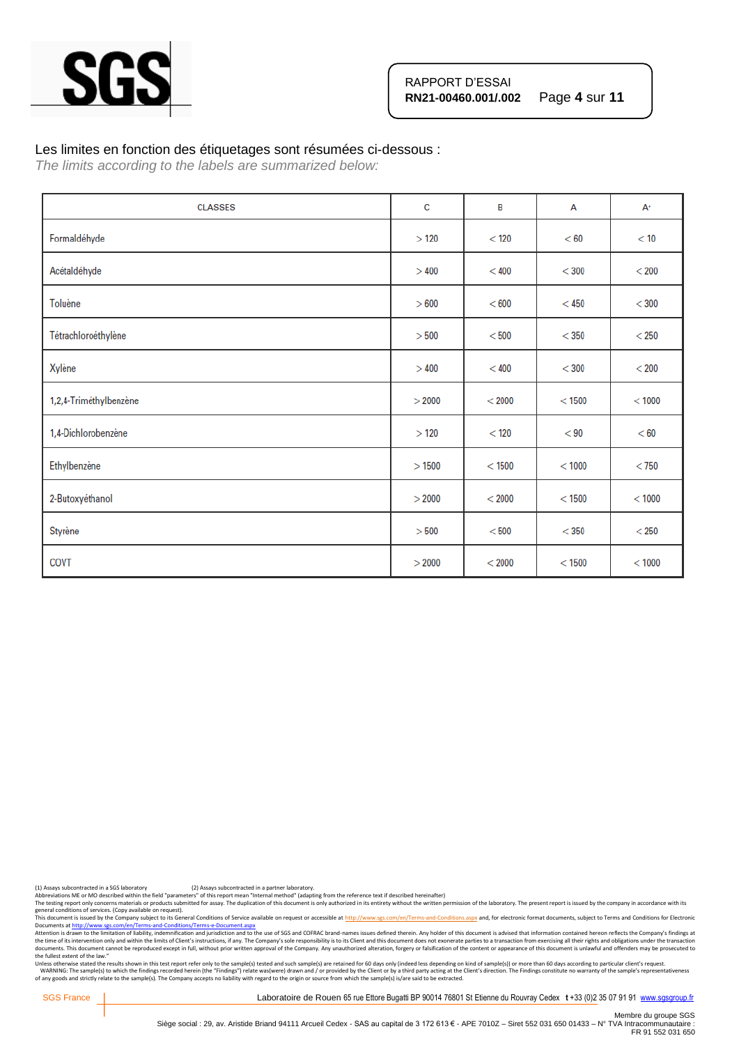

#### Les limites en fonction des étiquetages sont résumées ci-dessous :

*The limits according to the labels are summarized below:*

| <b>CLASSES</b>         | c      | B        | A        | $A^+$   |
|------------------------|--------|----------|----------|---------|
| Formaldéhyde           | >120   | $<$ 120  | < 60     | < 10    |
| Acétaldéhyde           | >400   | < 400    | $<$ 300  | $<$ 200 |
| Toluène                | > 600  | < 600    | $<$ 450  | $<$ 300 |
| Tétrachloroéthylène    | > 500  | < 500    | $<$ 350  | $<$ 250 |
| Xylène                 | >400   | < 400    | $<$ 300  | $<$ 200 |
| 1,2,4-Triméthylbenzène | > 2000 | < 2000   | $<$ 1500 | < 1000  |
| 1,4-Dichlorobenzène    | >120   | < 120    | < 90     | < 60    |
| Ethylbenzène           | >1500  | $<$ 1500 | < 1000   | $<$ 750 |
| 2-Butoxyéthanol        | > 2000 | < 2000   | $<$ 1500 | < 1000  |
| Styrène                | > 500  | < 500    | $<$ 350  | $<$ 250 |
| COVT                   | > 2000 | < 2000   | < 1500   | < 1000  |

(1) Assays subcontracted in a SGS laboratory (2) Assays subcontracted in a partner laboratory.<br>Abbreviations ME or MO described within the field "parameters" of this report mean "Internal method" (adapting from the referen

Abbreviations ME or MO described within the neid "parameters" or this report intent intention of this document is only outhorized in its entirety without the written permission of the laboratory. The present report is issu

general conditions of services. (Copy available on request).<br>This documents a fister of the Company subject to the Company subject to the Gompany subject to the School of<br>Documents at <u>http://www.ses.com/en/Terms-and-Condi</u> the fullest extent of the law."

Unless otherwise stated the results shown in this test report refer only to the sample(s) tested and such sample(s) are retained for 60 days only (indeed less depending on kind of sample(s)) or more than 60 days according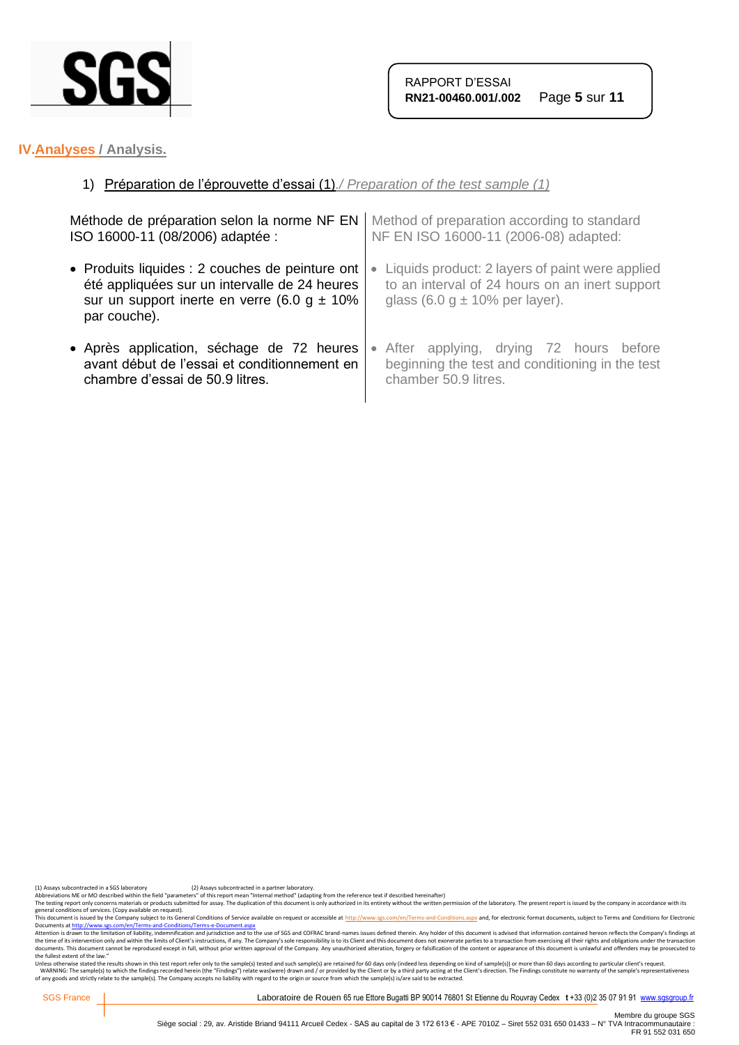

# **IV.Analyses / Analysis.**

# 1) Préparation de l'éprouvette d'essai (1)*./ Preparation of the test sample (1)*

| Méthode de préparation selon la norme NF EN     | Method of preparation according to standard     |
|-------------------------------------------------|-------------------------------------------------|
| ISO 16000-11 (08/2006) adaptée :                | NF EN ISO 16000-11 (2006-08) adapted:           |
| • Produits liquides : 2 couches de peinture ont | Liquids product: 2 layers of paint were applied |
| été appliquées sur un intervalle de 24 heures   | $\bullet$                                       |
| sur un support inerte en verre (6.0 g $\pm$ 10% | to an interval of 24 hours on an inert support  |
| par couche).                                    | glass $(6.0 g \pm 10\%$ per layer).             |
| • Après application, séchage de 72 heures       | • After applying, drying 72 hours before        |
| avant début de l'essai et conditionnement en    | beginning the test and conditioning in the test |
| chambre d'essai de 50.9 litres.                 | chamber 50.9 litres.                            |

(1) Assays subcontracted in a SGS laboratory (2) Assays subcontracted in a partner laboratory.<br>Abbreviations ME or MO described within the field "parameters" of this report mean "Internal method" (adapting from the referen

Abbrevations ML or MU described with the held "parameters" of this report mean "internal methor" ledapting from the reference text if elescibed meremalter) without the written permistion of the laboratory. The present repo

general conditions of services. (Copy available on request).<br>This documents a fister of the Company subject to the Company subject to the Gompany subject to the School of<br>Documents at <u>http://www.ses.com/en/Terms-and-Condi</u> the fullest extent of the law."

Unless otherwise stated the results shown in this test report refer only to the sample(s) tested and such sample(s) are retained for 60 days only (indeed less depending on kind of sample(s)) or more than 60 days according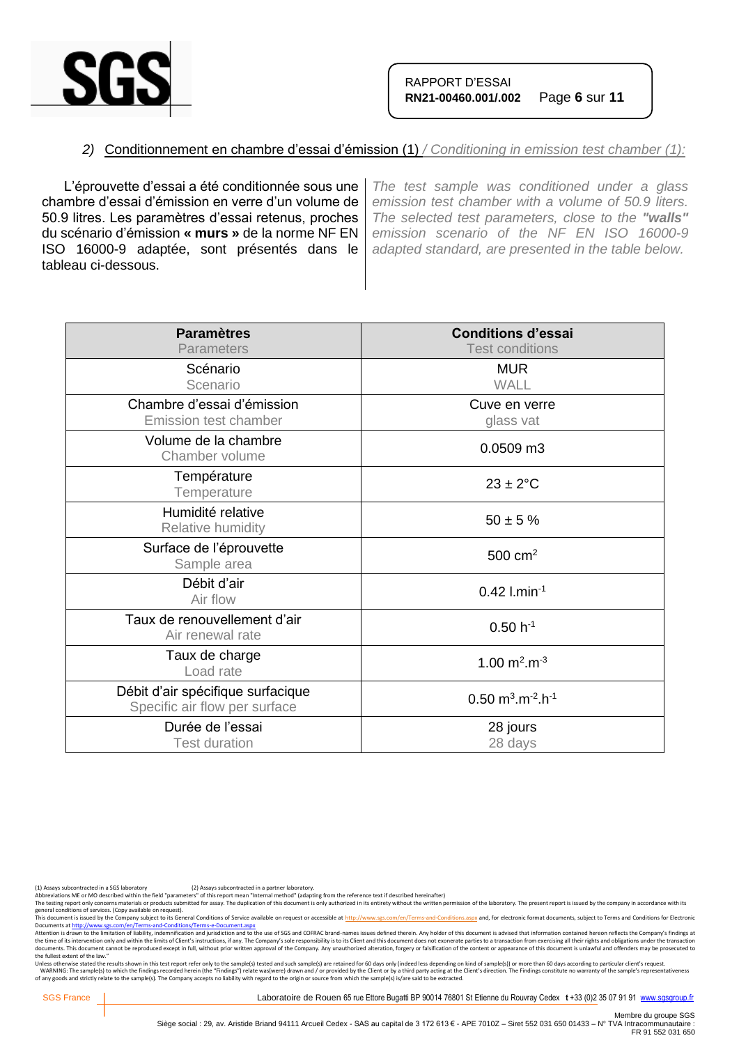

# *2)* Conditionnement en chambre d'essai d'émission (1) */ Conditioning in emission test chamber (1):*

L'éprouvette d'essai a été conditionnée sous une chambre d'essai d'émission en verre d'un volume de 50.9 litres. Les paramètres d'essai retenus, proches du scénario d'émission **« murs »** de la norme NF EN ISO 16000-9 adaptée, sont présentés dans le tableau ci-dessous.

*The test sample was conditioned under a glass emission test chamber with a volume of 50.9 liters. The selected test parameters, close to the "walls" emission scenario of the NF EN ISO 16000-9 adapted standard, are presented in the table below.*

| <b>Paramètres</b><br><b>Parameters</b>                             | <b>Conditions d'essai</b><br><b>Test conditions</b>        |
|--------------------------------------------------------------------|------------------------------------------------------------|
| Scénario<br>Scenario                                               | <b>MUR</b><br><b>WALL</b>                                  |
| Chambre d'essai d'émission<br><b>Emission test chamber</b>         | Cuve en verre<br>glass vat                                 |
| Volume de la chambre<br>Chamber volume                             | 0.0509 m3                                                  |
| Température<br>Temperature                                         | $23 \pm 2$ °C                                              |
| Humidité relative<br>Relative humidity                             | $50 \pm 5 \%$                                              |
| Surface de l'éprouvette<br>Sample area                             | $500 \text{ cm}^2$                                         |
| Débit d'air<br>Air flow                                            | $0.42$ l.min <sup>-1</sup>                                 |
| Taux de renouvellement d'air<br>Air renewal rate                   | $0.50 h^{-1}$                                              |
| Taux de charge<br>Load rate                                        | 1.00 $m^2.m^{-3}$                                          |
| Débit d'air spécifique surfacique<br>Specific air flow per surface | $0.50 \text{ m}^3 \cdot \text{m}^{-2} \cdot \text{h}^{-1}$ |
| Durée de l'essai<br><b>Test duration</b>                           | 28 jours<br>28 days                                        |

(1) Assays subcontracted in a SGS laboratory (2) Assays subcontracted in a partner laboratory.<br>Abbreviations ME or MO described within the field "parameters" of this report mean "Internal method" (adapting from the referen

The testing report only concerns materials or products submitted for assay. The duplication of this document is only authorized in its entirety without the written permission of the laboratory. The present report is issued

general conditions of services. (Copy available on request).<br>This documents a fister of the Company subject to the Company subject to the Gompany subject to the School of<br>Documents at <u>http://www.ses.com/en/Terms-and-Condi</u> the fullest extent of the law."

Unless otherwise stated the results shown in this test report refer only to the sample(s) tested and such sample(s) are retained for 60 days only (indeed less depending on kind of sample(s)) or more than 60 days according

SGS France | Laboratoire de Rouen 65 rue Ettore Bugatti BP 90014 76801 St Etienne du Rouvray Cedex t +33 (0)2 35 07 91 91 [www.sgsgroup.fr](http://www.sgsgroup.fr/)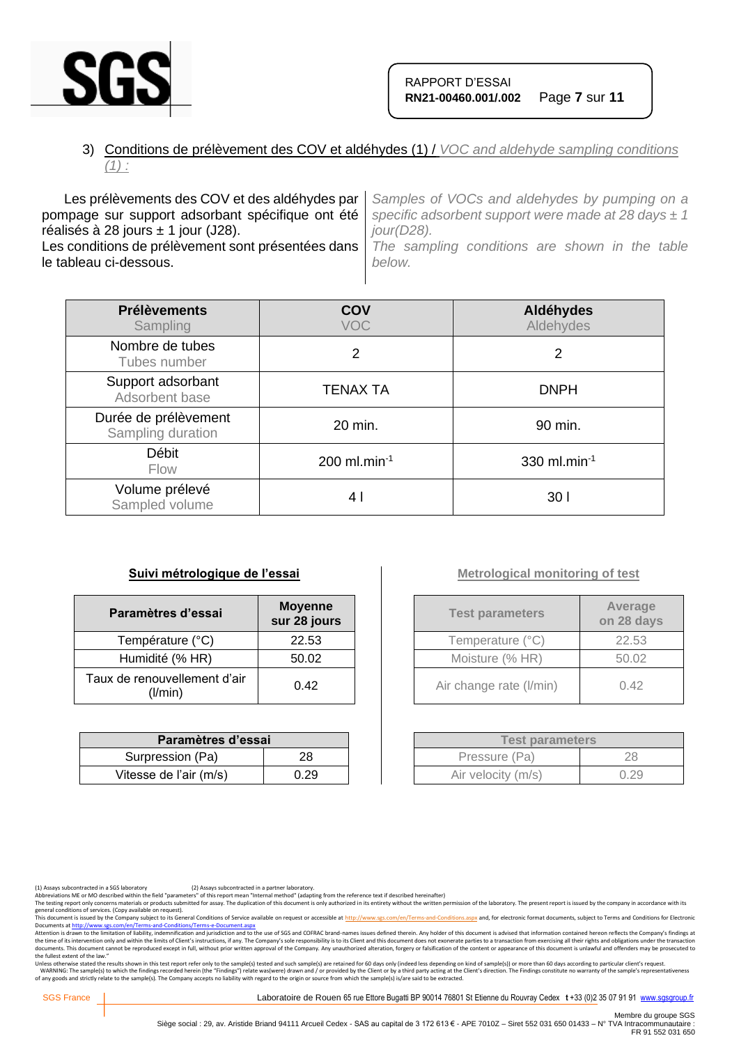

# 3) Conditions de prélèvement des COV et aldéhydes (1) / *VOC and aldehyde sampling conditions (1) :*

Les prélèvements des COV et des aldéhydes par pompage sur support adsorbant spécifique ont été réalisés à 28 jours  $\pm$  1 jour (J28). Les conditions de prélèvement sont présentées dans le tableau ci-dessous. *Samples of VOCs and aldehydes by pumping on a specific adsorbent support were made at 28 days ± 1 jour(D28). The sampling conditions are shown in the table below.*

| <b>Prélèvements</b><br>Sampling           | COV<br><b>VOC</b>          | Aldéhydes<br>Aldehydes |
|-------------------------------------------|----------------------------|------------------------|
| Nombre de tubes<br>Tubes number           | 2                          | 2                      |
| Support adsorbant<br>Adsorbent base       | <b>TENAX TA</b>            | <b>DNPH</b>            |
| Durée de prélèvement<br>Sampling duration | 20 min.                    | 90 min.                |
| Débit<br><b>Flow</b>                      | $200$ ml.min <sup>-1</sup> | 330 ml.min $^{-1}$     |
| Volume prélevé<br>Sampled volume          | 4 I                        | 30 I                   |

### **Suivi métrologique de l'essai**

| Paramètres d'essai                      | <b>Moyenne</b><br>sur 28 jours |
|-----------------------------------------|--------------------------------|
| Température (°C)                        | 22.53                          |
| Humidité (% HR)                         | 50.02                          |
| Taux de renouvellement d'air<br>(I/min) | 0.42                           |

| Paramètres d'essai     |      |  |
|------------------------|------|--|
| Surpression (Pa)       | 28   |  |
| Vitesse de l'air (m/s) | 0.29 |  |

# **Metrological monitoring of test**

| <b>Test parameters</b>  | Average<br>on 28 days |
|-------------------------|-----------------------|
| Temperature (°C)        | 22.53                 |
| Moisture (% HR)         | 50.02                 |
| Air change rate (I/min) | 0.42                  |

| <b>Test parameters</b> |      |  |
|------------------------|------|--|
| Pressure (Pa)          | 28   |  |
| Air velocity (m/s)     | 0.29 |  |

(1) Assays subcontracted in a SGS laboratory (2) Assays subcontracted in a partner laboratory.<br>Abbreviations ME or MO described within the field "parameters" of this report mean "Internal method" (adapting from the referen

The testing report only concerns materials or products submitted for assay. The duplication of this document is only authorized in its entirety without the written permission of the laboratory. The present report is issued

general conditions of services. (Copy available on request).<br>This documents a fister of the Company subject to the Company subject to the Gompany subject to the School of<br>Documents at <u>http://www.ses.com/en/Terms-and-Condi</u> the fullest extent of the law."

Unless otherwise stated the results shown in this test report refer only to the sample(s) tested and such sample(s) are retained for 60 days only (indeed less depending on kind of sample(s)) or more than 60 days according

SGS France | Laboratoire de Rouen 65 rue Ettore Bugatti BP 90014 76801 St Etienne du Rouvray Cedex t +33 (0)2 35 07 91 91 [www.sgsgroup.fr](http://www.sgsgroup.fr/)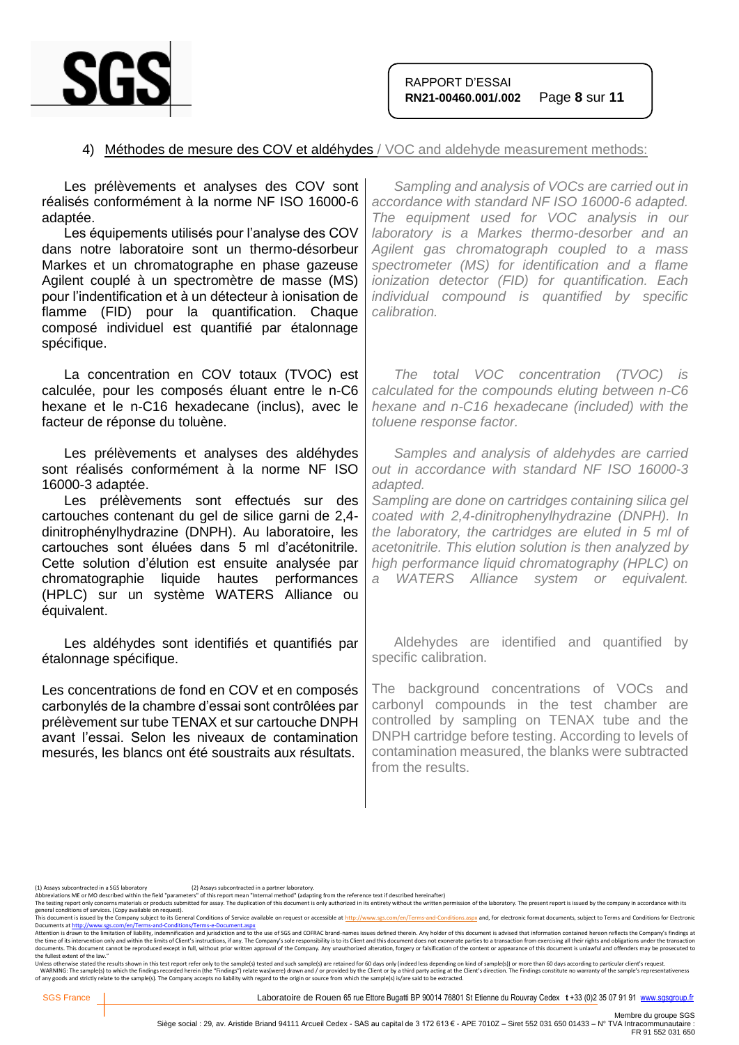

## 4) Méthodes de mesure des COV et aldéhydes / VOC and aldehyde measurement methods:

| Sampling and analysis of VOCs are carried out in<br>accordance with standard NF ISO 16000-6 adapted.<br>The equipment used for VOC analysis in our<br>laboratory is a Markes thermo-desorber and an<br>Agilent gas chromatograph coupled to a mass<br>spectrometer (MS) for identification and a flame<br>ionization detector (FID) for quantification. Each<br>individual compound is quantified by specific<br>calibration.                    |
|--------------------------------------------------------------------------------------------------------------------------------------------------------------------------------------------------------------------------------------------------------------------------------------------------------------------------------------------------------------------------------------------------------------------------------------------------|
| The total VOC concentration (TVOC) is<br>calculated for the compounds eluting between n-C6<br>hexane and n-C16 hexadecane (included) with the<br>toluene response factor.                                                                                                                                                                                                                                                                        |
| Samples and analysis of aldehydes are carried<br>out in accordance with standard NF ISO 16000-3<br>adapted.<br>Sampling are done on cartridges containing silica gel<br>coated with 2,4-dinitrophenylhydrazine (DNPH). In<br>the laboratory, the cartridges are eluted in 5 ml of<br>acetonitrile. This elution solution is then analyzed by<br>high performance liquid chromatography (HPLC) on<br>WATERS Alliance system or equivalent.<br>a i |
| Aldehydes are identified and quantified by<br>specific calibration.                                                                                                                                                                                                                                                                                                                                                                              |
| The background concentrations of VOCs and<br>carbonyl compounds in the test chamber are<br>controlled by sampling on TENAX tube and the<br>DNPH cartridge before testing. According to levels of<br>contamination measured, the blanks were subtracted<br>from the results.                                                                                                                                                                      |
|                                                                                                                                                                                                                                                                                                                                                                                                                                                  |

general conditions of services. (Copy available on request).<br>This documents a fister of the Company subject to the Company subject to the Gompany subject to the School of<br>Documents at <u>http://www.ses.com/en/Terms-and-Condi</u> the fullest extent of the law."

Unless otherwise stated the results shown in this test report refer only to the sample(s) tested and such sample(s) are retained for 60 days only (indeed less depending on kind of sample(s)) or more than 60 days according

<sup>(1)</sup> Assays subcontracted in a SGS laboratory (2) Assays subcontracted in a partner laboratory.<br>Abbreviations ME or MO described within the field "parameters" of this report mean "Internal method" (adapting from the referen

Abbrevations ML or MU described with the held "parameters" of this report mean "internal methor" ledapting from the reference text if elescibed meremalter) without the written permistion of the laboratory. The present repo

Membre du groupe SGS<br>Siège social : 29, av. Aristide Briand 94111 Arcueil Cedex - SAS au capital de 3 172 613 € - APE 7010Z – Siret 552 031 650 01433 – N° TVA Intracommunautaire :<br>FR 91 552 031 650 FR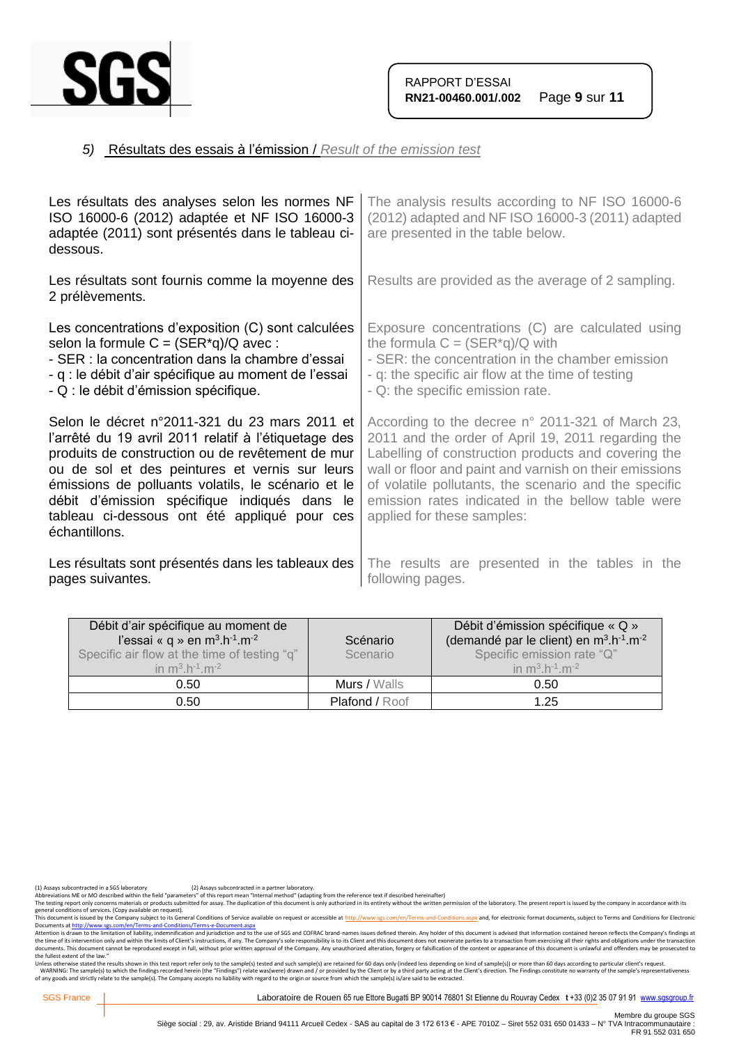

# *5)* Résultats des essais à l'émission / *Result of the emission test*

| Les résultats des analyses selon les normes NF<br>ISO 16000-6 (2012) adaptée et NF ISO 16000-3<br>adaptée (2011) sont présentés dans le tableau ci-<br>dessous.                                                                                                                                                                                                                    | The analysis results according to NF ISO 16000-6<br>(2012) adapted and NF ISO 16000-3 (2011) adapted<br>are presented in the table below.                                                                                                                                                                                                                           |
|------------------------------------------------------------------------------------------------------------------------------------------------------------------------------------------------------------------------------------------------------------------------------------------------------------------------------------------------------------------------------------|---------------------------------------------------------------------------------------------------------------------------------------------------------------------------------------------------------------------------------------------------------------------------------------------------------------------------------------------------------------------|
| Les résultats sont fournis comme la moyenne des<br>2 prélèvements.                                                                                                                                                                                                                                                                                                                 | Results are provided as the average of 2 sampling.                                                                                                                                                                                                                                                                                                                  |
| Les concentrations d'exposition (C) sont calculées<br>selon la formule $C = (SER^*q)/Q$ avec:<br>- SER : la concentration dans la chambre d'essai<br>- q : le débit d'air spécifique au moment de l'essai<br>- Q : le débit d'émission spécifique.                                                                                                                                 | Exposure concentrations (C) are calculated using<br>the formula $C = (SER^*q)/Q$ with<br>- SER: the concentration in the chamber emission<br>- q: the specific air flow at the time of testing<br>- Q: the specific emission rate.                                                                                                                                  |
| Selon le décret n°2011-321 du 23 mars 2011 et<br>l'arrêté du 19 avril 2011 relatif à l'étiquetage des<br>produits de construction ou de revêtement de mur<br>ou de sol et des peintures et vernis sur leurs<br>émissions de polluants volatils, le scénario et le<br>débit d'émission spécifique indiqués dans le<br>tableau ci-dessous ont été appliqué pour ces<br>échantillons. | According to the decree n° 2011-321 of March 23,<br>2011 and the order of April 19, 2011 regarding the<br>Labelling of construction products and covering the<br>wall or floor and paint and varnish on their emissions<br>of volatile pollutants, the scenario and the specific<br>emission rates indicated in the bellow table were<br>applied for these samples: |
| Les résultats sont présentés dans les tableaux des<br>pages suivantes.                                                                                                                                                                                                                                                                                                             | The results are presented in the tables in the<br>following pages.                                                                                                                                                                                                                                                                                                  |

| Débit d'air spécifique au moment de<br>l'essai « q » en m <sup>3</sup> .h <sup>-1</sup> .m <sup>-2</sup><br>Specific air flow at the time of testing "q"<br>in $m^3 h^{-1} m^{-2}$ | Scénario<br>Scenario  | Débit d'émission spécifique « Q »<br>(demandé par le client) en m <sup>3</sup> .h <sup>-1</sup> .m <sup>-2</sup><br>Specific emission rate "Q"<br>in $m^3 h^{-1} m^{-2}$ |
|------------------------------------------------------------------------------------------------------------------------------------------------------------------------------------|-----------------------|--------------------------------------------------------------------------------------------------------------------------------------------------------------------------|
| 0.50                                                                                                                                                                               | Murs / Walls          | 0.50                                                                                                                                                                     |
| 0.50                                                                                                                                                                               | <b>Plafond / Roof</b> | 1.25                                                                                                                                                                     |

(1) Assays subcontracted in a SGS laboratory (2) Assays subcontracted in a partner laboratory.<br>Abbreviations ME or MO described within the field "parameters" of this report mean "Internal method" (adapting from the referen

Abbrevations ML or MU described with the held "parameters" of this report mean "internal methor" ledapting from the reference text if elescibed meremalter) without the written permistion of the laboratory. The present repo

general conditions of services. (Copy available on request).<br>This documents a fister of the Company subject to the Company subject to the Gompany subject to the School of<br>Documents at <u>http://www.ses.com/en/Terms-and-Condi</u> the fullest extent of the law."

Unless otherwise stated the results shown in this test report refer only to the sample(s) tested and such sample(s) are retained for 60 days only (indeed less depending on kind of sample(s)) or more than 60 days according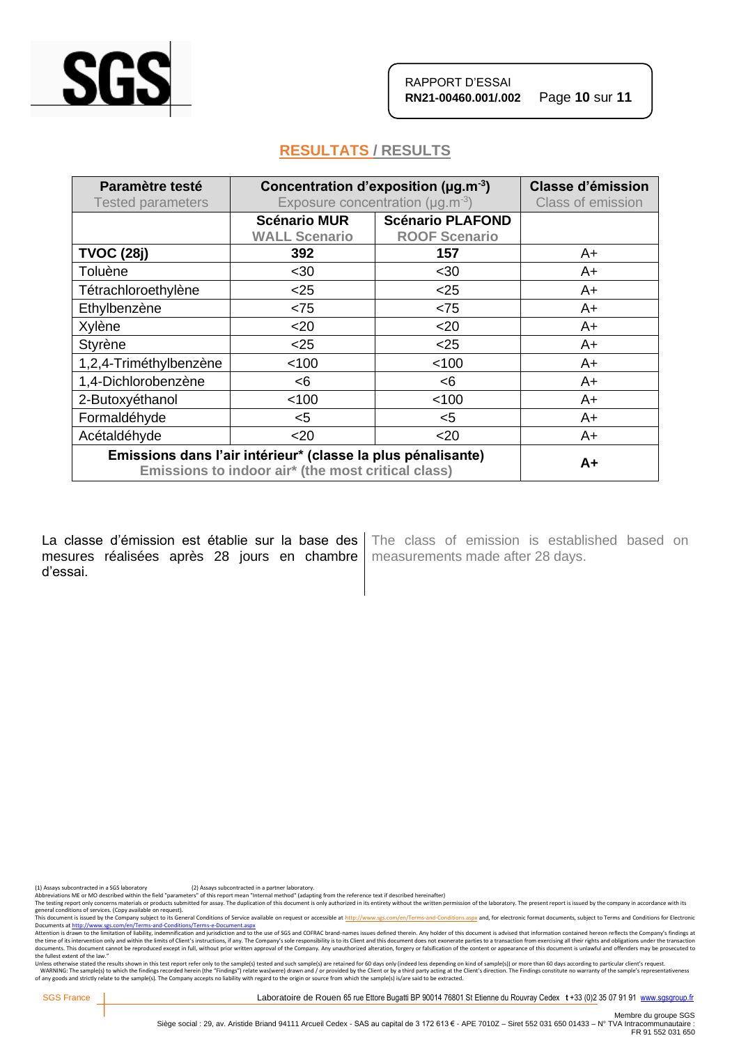

RAPPORT D'ESSAI **RN21-00460.001/.002** Page **10** sur **11**

# **RESULTATS / RESULTS**

| Paramètre testé<br><b>Tested parameters</b>                                                                        | Concentration d'exposition ( $\mu$ g.m <sup>-3</sup> )<br>Exposure concentration ( $\mu$ g.m <sup>-3</sup> ) |                                                 | <b>Classe d'émission</b><br>Class of emission |
|--------------------------------------------------------------------------------------------------------------------|--------------------------------------------------------------------------------------------------------------|-------------------------------------------------|-----------------------------------------------|
|                                                                                                                    | <b>Scénario MUR</b><br><b>WALL Scenario</b>                                                                  | <b>Scénario PLAFOND</b><br><b>ROOF Scenario</b> |                                               |
| <b>TVOC (28j)</b>                                                                                                  | 392                                                                                                          | 157                                             | A+                                            |
| Toluène                                                                                                            | <30                                                                                                          | $30$                                            | A+                                            |
| Tétrachloroethylène                                                                                                | $25$                                                                                                         | $25$                                            | A+                                            |
| Ethylbenzène                                                                                                       | < 75                                                                                                         | < 75                                            | $A+$                                          |
| Xylène                                                                                                             | $20$                                                                                                         | $20$                                            | $A+$                                          |
| <b>Styrène</b>                                                                                                     | $25$                                                                                                         | $25$                                            | A+                                            |
| 1,2,4-Triméthylbenzène                                                                                             | < 100                                                                                                        | < 100                                           | $A+$                                          |
| 1,4-Dichlorobenzène                                                                                                | <6                                                                                                           | <6                                              | A+                                            |
| 2-Butoxyéthanol                                                                                                    | < 100                                                                                                        | < 100                                           | $A+$                                          |
| Formaldéhyde                                                                                                       | $5$                                                                                                          | $5$                                             | A+                                            |
| Acétaldéhyde                                                                                                       | $20$                                                                                                         | $20$                                            | A+                                            |
| Emissions dans l'air intérieur* (classe la plus pénalisante)<br>Emissions to indoor air* (the most critical class) |                                                                                                              |                                                 | $A+$                                          |

La classe d'émission est établie sur la base des mesures réalisées après 28 jours en chambre d'essai.

The class of emission is established based on measurements made after 28 days.

(1) Assays subcontracted in a SGS laboratory (2) Assays subcontracted in a partner laboratory.<br>Abbreviations ME or MO described within the field "parameters" of this report mean "Internal method" (adapting from the referen

The testing report only concerns materials or products submitted for assay. The duplication of this document is only authorized in its entirety without the written permission of the laboratory. The present report is issued

general conditions of services. (Copy available on request).<br>This documents a fister of the Company subject to the Company subject to the Gompany subject to the School of<br>Documents at <u>http://www.ses.com/en/Terms-and-Condi</u> the fullest extent of the law."

Unless otherwise stated the results shown in this test report refer only to the sample(s) tested and such sample(s) are retained for 60 days only (indeed less depending on kind of sample(s)) or more than 60 days according